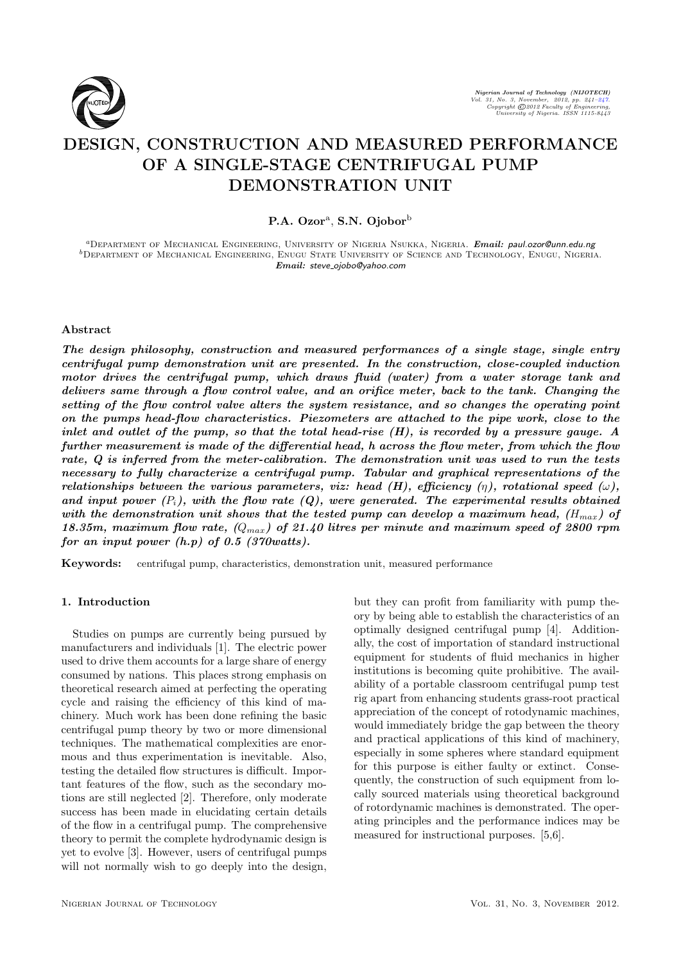

# DESIGN, CONSTRUCTION AND MEASURED PERFORMANCE OF A SINGLE-STAGE CENTRIFUGAL PUMP DEMONSTRATION UNIT

P.A. Ozor<sup>a</sup>, S.N. Ojobor<sup>b</sup>

<sup>a</sup>Department of Mechanical Engineering, University of Nigeria Nsukka, Nigeria. Email: paul.ozor@unn.edu.ng bDepartment of Mechanical Engineering, Enugu State University of Science and Technology, Enugu, Nigeria. Email: steve ojobo@yahoo.com

## Abstract

The design philosophy, construction and measured performances of a single stage, single entry centrifugal pump demonstration unit are presented. In the construction, close-coupled induction motor drives the centrifugal pump, which draws fluid (water) from a water storage tank and delivers same through a flow control valve, and an orifice meter, back to the tank. Changing the setting of the flow control valve alters the system resistance, and so changes the operating point on the pumps head-flow characteristics. Piezometers are attached to the pipe work, close to the inlet and outlet of the pump, so that the total head-rise (H), is recorded by a pressure gauge. A further measurement is made of the differential head, h across the flow meter, from which the flow rate, Q is inferred from the meter-calibration. The demonstration unit was used to run the tests necessary to fully characterize a centrifugal pump. Tabular and graphical representations of the relationships between the various parameters, viz: head (H), efficiency  $(\eta)$ , rotational speed  $(\omega)$ , and input power  $(P_i)$ , with the flow rate  $(Q)$ , were generated. The experimental results obtained with the demonstration unit shows that the tested pump can develop a maximum head,  $(H_{max})$  of 18.35m, maximum flow rate,  $(Q_{max})$  of 21.40 litres per minute and maximum speed of 2800 rpm for an input power  $(h, p)$  of 0.5 (370 watts).

Keywords: centrifugal pump, characteristics, demonstration unit, measured performance

#### 1. Introduction

Studies on pumps are currently being pursued by manufacturers and individuals [1]. The electric power used to drive them accounts for a large share of energy consumed by nations. This places strong emphasis on theoretical research aimed at perfecting the operating cycle and raising the efficiency of this kind of machinery. Much work has been done refining the basic centrifugal pump theory by two or more dimensional techniques. The mathematical complexities are enormous and thus experimentation is inevitable. Also, testing the detailed flow structures is difficult. Important features of the flow, such as the secondary motions are still neglected [2]. Therefore, only moderate success has been made in elucidating certain details of the flow in a centrifugal pump. The comprehensive theory to permit the complete hydrodynamic design is yet to evolve [3]. However, users of centrifugal pumps will not normally wish to go deeply into the design, but they can profit from familiarity with pump theory by being able to establish the characteristics of an optimally designed centrifugal pump [4]. Additionally, the cost of importation of standard instructional equipment for students of fluid mechanics in higher institutions is becoming quite prohibitive. The availability of a portable classroom centrifugal pump test rig apart from enhancing students grass-root practical appreciation of the concept of rotodynamic machines, would immediately bridge the gap between the theory and practical applications of this kind of machinery, especially in some spheres where standard equipment for this purpose is either faulty or extinct. Consequently, the construction of such equipment from locally sourced materials using theoretical background of rotordynamic machines is demonstrated. The operating principles and the performance indices may be measured for instructional purposes. [5,6].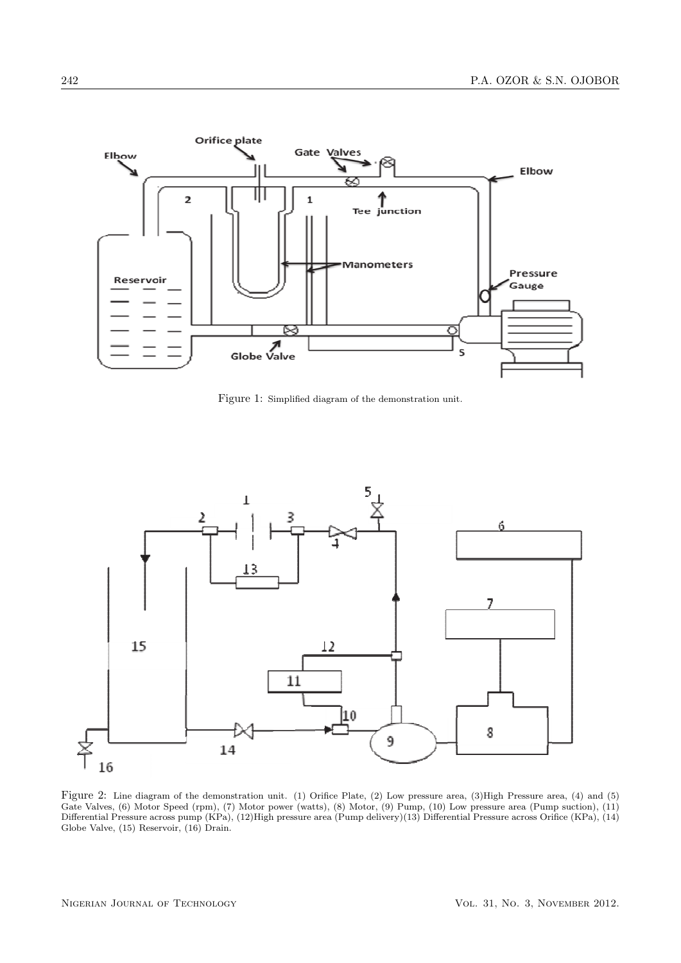

Figure 1: Simplified diagram of the demonstration unit.



Figure 2: Line diagram of the demonstration unit. (1) Orifice Plate, (2) Low pressure area, (3)High Pressure area, (4) and (5) Gate Valves, (6) Motor Speed (rpm), (7) Motor power (watts), (8) Motor, (9) Pump, (10) Low pressure area (Pump suction), (11) Differential Pressure across pump (KPa), (12)High pressure area (Pump delivery)(13) Differential Pressure across Orifice (KPa), (14) Globe Valve, (15) Reservoir, (16) Drain.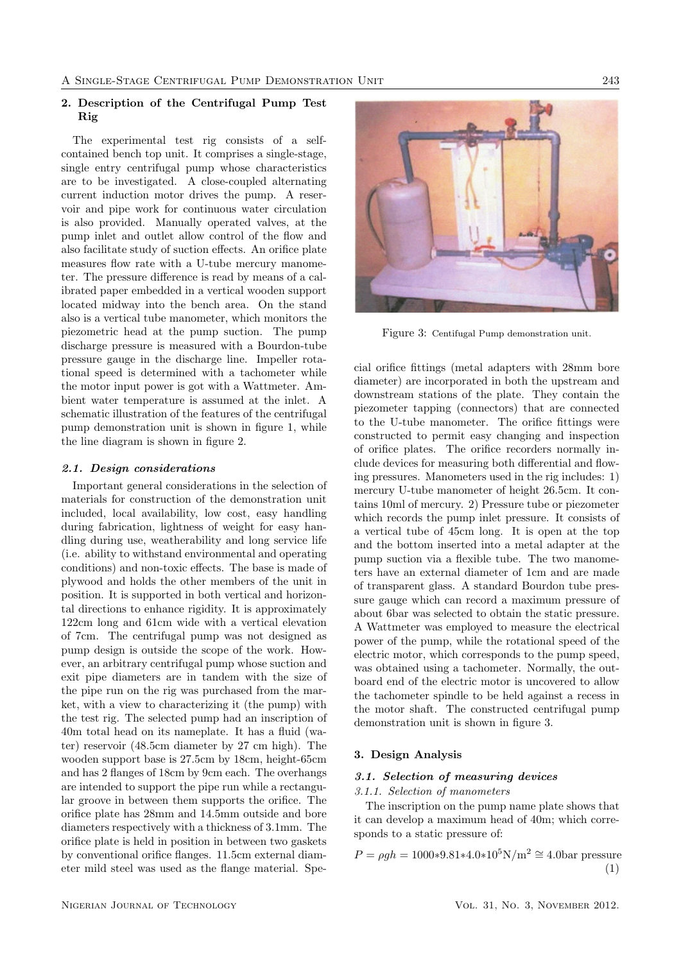## 2. Description of the Centrifugal Pump Test Rig

The experimental test rig consists of a selfcontained bench top unit. It comprises a single-stage, single entry centrifugal pump whose characteristics are to be investigated. A close-coupled alternating current induction motor drives the pump. A reservoir and pipe work for continuous water circulation is also provided. Manually operated valves, at the pump inlet and outlet allow control of the flow and also facilitate study of suction effects. An orifice plate measures flow rate with a U-tube mercury manometer. The pressure difference is read by means of a calibrated paper embedded in a vertical wooden support located midway into the bench area. On the stand also is a vertical tube manometer, which monitors the piezometric head at the pump suction. The pump discharge pressure is measured with a Bourdon-tube pressure gauge in the discharge line. Impeller rotational speed is determined with a tachometer while the motor input power is got with a Wattmeter. Ambient water temperature is assumed at the inlet. A schematic illustration of the features of the centrifugal pump demonstration unit is shown in figure 1, while the line diagram is shown in figure 2.

## 2.1. Design considerations

Important general considerations in the selection of materials for construction of the demonstration unit included, local availability, low cost, easy handling during fabrication, lightness of weight for easy handling during use, weatherability and long service life (i.e. ability to withstand environmental and operating conditions) and non-toxic effects. The base is made of plywood and holds the other members of the unit in position. It is supported in both vertical and horizontal directions to enhance rigidity. It is approximately 122cm long and 61cm wide with a vertical elevation of 7cm. The centrifugal pump was not designed as pump design is outside the scope of the work. However, an arbitrary centrifugal pump whose suction and exit pipe diameters are in tandem with the size of the pipe run on the rig was purchased from the market, with a view to characterizing it (the pump) with the test rig. The selected pump had an inscription of 40m total head on its nameplate. It has a fluid (water) reservoir (48.5cm diameter by 27 cm high). The wooden support base is 27.5cm by 18cm, height-65cm and has 2 flanges of 18cm by 9cm each. The overhangs are intended to support the pipe run while a rectangular groove in between them supports the orifice. The orifice plate has 28mm and 14.5mm outside and bore diameters respectively with a thickness of 3.1mm. The orifice plate is held in position in between two gaskets by conventional orifice flanges. 11.5cm external diameter mild steel was used as the flange material. Spe-



Figure 3: Centifugal Pump demonstration unit.

cial orifice fittings (metal adapters with 28mm bore diameter) are incorporated in both the upstream and downstream stations of the plate. They contain the piezometer tapping (connectors) that are connected to the U-tube manometer. The orifice fittings were constructed to permit easy changing and inspection of orifice plates. The orifice recorders normally include devices for measuring both differential and flowing pressures. Manometers used in the rig includes: 1) mercury U-tube manometer of height 26.5cm. It contains 10ml of mercury. 2) Pressure tube or piezometer which records the pump inlet pressure. It consists of a vertical tube of 45cm long. It is open at the top and the bottom inserted into a metal adapter at the pump suction via a flexible tube. The two manometers have an external diameter of 1cm and are made of transparent glass. A standard Bourdon tube pressure gauge which can record a maximum pressure of about 6bar was selected to obtain the static pressure. A Wattmeter was employed to measure the electrical power of the pump, while the rotational speed of the electric motor, which corresponds to the pump speed, was obtained using a tachometer. Normally, the outboard end of the electric motor is uncovered to allow the tachometer spindle to be held against a recess in the motor shaft. The constructed centrifugal pump demonstration unit is shown in figure 3.

## 3. Design Analysis

## 3.1. Selection of measuring devices

3.1.1. Selection of manometers

The inscription on the pump name plate shows that it can develop a maximum head of 40m; which corresponds to a static pressure of:

 $P = \rho gh = 1000*9.81*4.0*10<sup>5</sup>N/m<sup>2</sup> \approx 4.0$ bar pressure (1)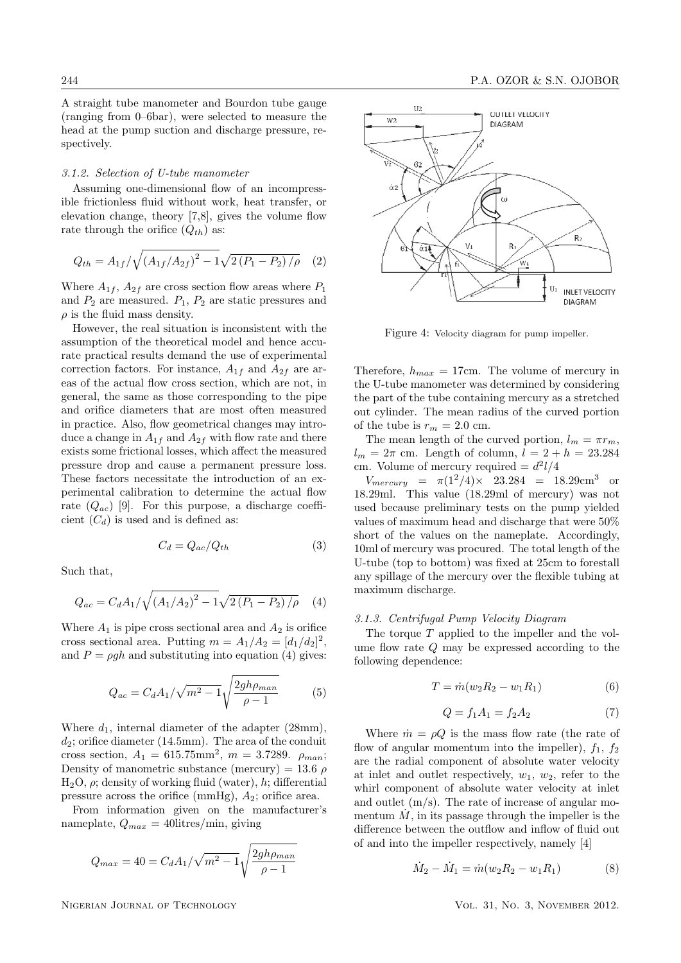A straight tube manometer and Bourdon tube gauge (ranging from 0–6bar), were selected to measure the head at the pump suction and discharge pressure, respectively.

## 3.1.2. Selection of U-tube manometer

Assuming one-dimensional flow of an incompressible frictionless fluid without work, heat transfer, or elevation change, theory [7,8], gives the volume flow rate through the orifice  $(Q_{th})$  as:

$$
Q_{th} = A_{1f} / \sqrt{(A_{1f}/A_{2f})^2 - 1} \sqrt{2 (P_1 - P_2) / \rho}
$$
 (2)

Where  $A_{1f}$ ,  $A_{2f}$  are cross section flow areas where  $P_1$ and  $P_2$  are measured.  $P_1$ ,  $P_2$  are static pressures and  $\rho$  is the fluid mass density.

However, the real situation is inconsistent with the assumption of the theoretical model and hence accurate practical results demand the use of experimental correction factors. For instance,  $A_{1f}$  and  $A_{2f}$  are areas of the actual flow cross section, which are not, in general, the same as those corresponding to the pipe and orifice diameters that are most often measured in practice. Also, flow geometrical changes may introduce a change in  $A_{1f}$  and  $A_{2f}$  with flow rate and there exists some frictional losses, which affect the measured pressure drop and cause a permanent pressure loss. These factors necessitate the introduction of an experimental calibration to determine the actual flow rate  $(Q_{ac})$  [9]. For this purpose, a discharge coefficient  $(C_d)$  is used and is defined as:

$$
C_d = Q_{ac}/Q_{th} \tag{3}
$$

Such that,

$$
Q_{ac} = C_d A_1 / \sqrt{(A_1 / A_2)^2 - 1} \sqrt{2 (P_1 - P_2) / \rho} \tag{4}
$$

Where  $A_1$  is pipe cross sectional area and  $A_2$  is orifice cross sectional area. Putting  $m = A_1/A_2 = [d_1/d_2]^2$ , and  $P = \rho gh$  and substituting into equation (4) gives:

$$
Q_{ac} = C_d A_1 / \sqrt{m^2 - 1} \sqrt{\frac{2gh\rho_{man}}{\rho - 1}}
$$
 (5)

Where  $d_1$ , internal diameter of the adapter (28mm),  $d_2$ ; orifice diameter (14.5mm). The area of the conduit cross section,  $A_1 = 615.75$ mm<sup>2</sup>,  $m = 3.7289$ .  $\rho_{man}$ ; Density of manometric substance (mercury) = 13.6  $\rho$ H<sub>2</sub>O,  $ρ$ ; density of working fluid (water), h; differential pressure across the orifice (mmHg),  $A_2$ ; orifice area.

From information given on the manufacturer's nameplate,  $Q_{max} = 40$ litres/min, giving

$$
Q_{max} = 40 = C_d A_1 / \sqrt{m^2 - 1} \sqrt{\frac{2gh\rho_{man}}{\rho - 1}}
$$



Figure 4: Velocity diagram for pump impeller.

Therefore,  $h_{max} = 17$ cm. The volume of mercury in the U-tube manometer was determined by considering the part of the tube containing mercury as a stretched out cylinder. The mean radius of the curved portion of the tube is  $r_m = 2.0$  cm.

The mean length of the curved portion,  $l_m = \pi r_m$ ,  $l_m = 2\pi$  cm. Length of column,  $l = 2 + h = 23.284$ cm. Volume of mercury required  $= d^2 l/4$ 

 $V_{mercury} = \pi (1^2/4) \times 23.284 = 18.29 \text{cm}^3 \text{ or}$ 18.29ml. This value (18.29ml of mercury) was not used because preliminary tests on the pump yielded values of maximum head and discharge that were 50% short of the values on the nameplate. Accordingly, 10ml of mercury was procured. The total length of the U-tube (top to bottom) was fixed at 25cm to forestall any spillage of the mercury over the flexible tubing at maximum discharge.

#### 3.1.3. Centrifugal Pump Velocity Diagram

The torque  $T$  applied to the impeller and the volume flow rate Q may be expressed according to the following dependence:

$$
T = \dot{m}(w_2 R_2 - w_1 R_1) \tag{6}
$$

$$
Q = f_1 A_1 = f_2 A_2 \tag{7}
$$

Where  $\dot{m} = \rho Q$  is the mass flow rate (the rate of flow of angular momentum into the impeller),  $f_1$ ,  $f_2$ are the radial component of absolute water velocity at inlet and outlet respectively,  $w_1, w_2$ , refer to the whirl component of absolute water velocity at inlet and outlet (m/s). The rate of increase of angular momentum  $\dot{M}$ , in its passage through the impeller is the difference between the outflow and inflow of fluid out of and into the impeller respectively, namely [4]

$$
\dot{M}_2 - \dot{M}_1 = \dot{m}(w_2 R_2 - w_1 R_1) \tag{8}
$$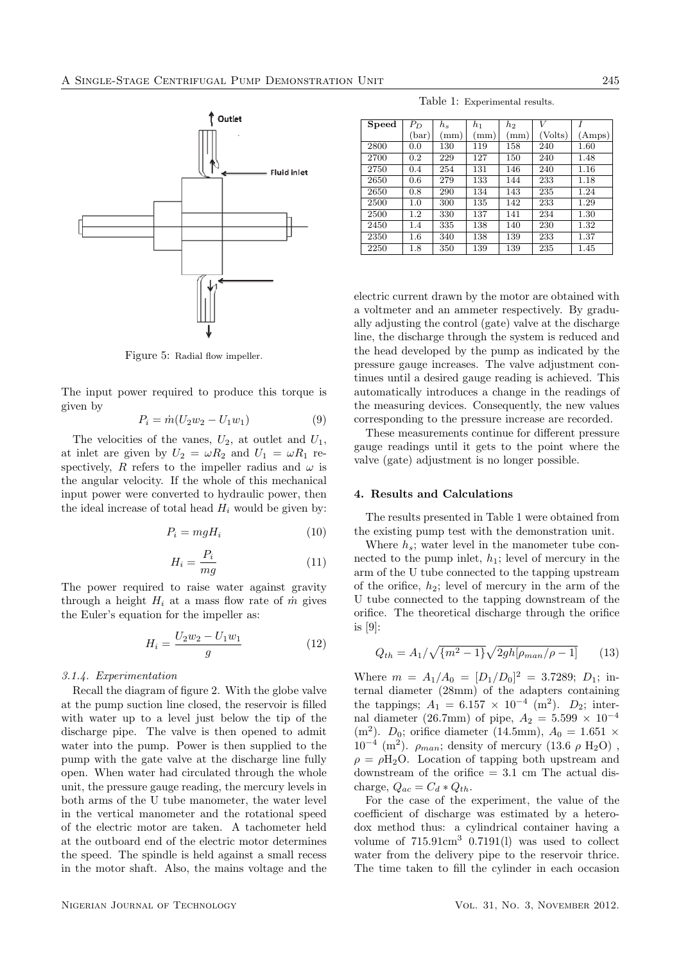

Figure 5: Radial flow impeller.

The input power required to produce this torque is given by

$$
P_i = \dot{m}(U_2 w_2 - U_1 w_1) \tag{9}
$$

The velocities of the vanes,  $U_2$ , at outlet and  $U_1$ , at inlet are given by  $U_2 = \omega R_2$  and  $U_1 = \omega R_1$  respectively, R refers to the impeller radius and  $\omega$  is the angular velocity. If the whole of this mechanical input power were converted to hydraulic power, then the ideal increase of total head  $H_i$  would be given by:

$$
P_i = mgH_i \tag{10}
$$

$$
H_i = \frac{P_i}{mg} \tag{11}
$$

The power required to raise water against gravity through a height  $H_i$  at a mass flow rate of  $\dot{m}$  gives the Euler's equation for the impeller as:

$$
H_i = \frac{U_2 w_2 - U_1 w_1}{g} \tag{12}
$$

#### 3.1.4. Experimentation

Recall the diagram of figure 2. With the globe valve at the pump suction line closed, the reservoir is filled with water up to a level just below the tip of the discharge pipe. The valve is then opened to admit water into the pump. Power is then supplied to the pump with the gate valve at the discharge line fully open. When water had circulated through the whole unit, the pressure gauge reading, the mercury levels in both arms of the U tube manometer, the water level in the vertical manometer and the rotational speed of the electric motor are taken. A tachometer held at the outboard end of the electric motor determines the speed. The spindle is held against a small recess in the motor shaft. Also, the mains voltage and the

Table 1: Experimental results.

| Speed | $P_D$   | $h_{s}$ | $h_1$ | $h_2$ | V       |        |
|-------|---------|---------|-------|-------|---------|--------|
|       | (bar)   | (mm)    | (mm)  | (mm)  | (Volts) | (Amps) |
| 2800  | 0.0     | 130     | 119   | 158   | 240     | 1.60   |
| 2700  | 0.2     | 229     | 127   | 150   | 240     | 1.48   |
| 2750  | 0.4     | 254     | 131   | 146   | 240     | 1.16   |
| 2650  | 0.6     | 279     | 133   | 144   | 233     | 1.18   |
| 2650  | 0.8     | 290     | 134   | 143   | 235     | 1.24   |
| 2500  | 1.0     | 300     | 135   | 142   | 233     | 1.29   |
| 2500  | $1.2\,$ | 330     | 137   | 141   | 234     | 1.30   |
| 2450  | 1.4     | 335     | 138   | 140   | 230     | 1.32   |
| 2350  | $1.6\,$ | 340     | 138   | 139   | 233     | 1.37   |
| 2250  | 1.8     | 350     | 139   | 139   | 235     | 1.45   |

electric current drawn by the motor are obtained with a voltmeter and an ammeter respectively. By gradually adjusting the control (gate) valve at the discharge line, the discharge through the system is reduced and the head developed by the pump as indicated by the pressure gauge increases. The valve adjustment continues until a desired gauge reading is achieved. This automatically introduces a change in the readings of the measuring devices. Consequently, the new values corresponding to the pressure increase are recorded.

These measurements continue for different pressure gauge readings until it gets to the point where the valve (gate) adjustment is no longer possible.

## 4. Results and Calculations

The results presented in Table 1 were obtained from the existing pump test with the demonstration unit.

Where  $h_s$ ; water level in the manometer tube connected to the pump inlet,  $h_1$ ; level of mercury in the arm of the U tube connected to the tapping upstream of the orifice,  $h_2$ ; level of mercury in the arm of the U tube connected to the tapping downstream of the orifice. The theoretical discharge through the orifice is [9]:

$$
Q_{th} = A_1 / \sqrt{\{m^2 - 1\}} \sqrt{2gh[\rho_{man}/\rho - 1]}
$$
 (13)

Where  $m = A_1/A_0 = [D_1/D_0]^2 = 3.7289; D_1;$  internal diameter (28mm) of the adapters containing the tappings;  $A_1 = 6.157 \times 10^{-4}$  (m<sup>2</sup>).  $D_2$ ; internal diameter (26.7mm) of pipe,  $A_2 = 5.599 \times 10^{-4}$ (m<sup>2</sup>).  $D_0$ ; orifice diameter (14.5mm),  $A_0 = 1.651 \times$  $10^{-4}$  (m<sup>2</sup>).  $\rho_{man}$ ; density of mercury (13.6  $\rho$  H<sub>2</sub>O),  $\rho = \rho H_2O$ . Location of tapping both upstream and downstream of the orifice  $= 3.1$  cm The actual discharge,  $Q_{ac} = C_d * Q_{th}$ .

For the case of the experiment, the value of the coefficient of discharge was estimated by a heterodox method thus: a cylindrical container having a volume of  $715.91 \text{cm}^3$  0.7191(1) was used to collect water from the delivery pipe to the reservoir thrice. The time taken to fill the cylinder in each occasion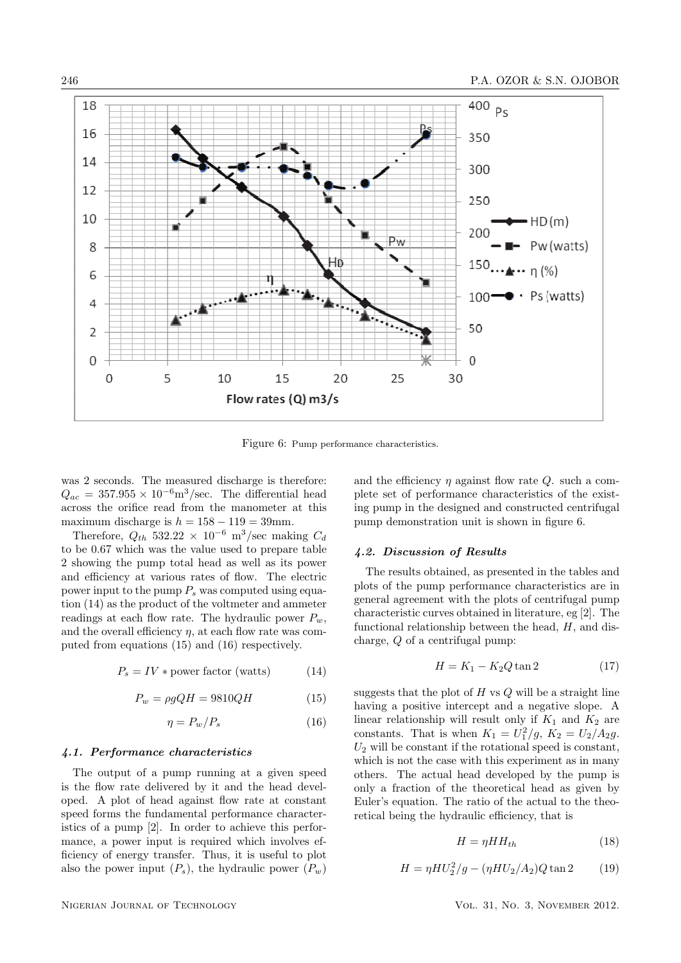

Figure 6: Pump performance characteristics.

was 2 seconds. The measured discharge is therefore:  $Q_{ac} = 357.955 \times 10^{-6} \text{m}^3/\text{sec}$ . The differential head across the orifice read from the manometer at this maximum discharge is  $h = 158 - 119 = 39$ mm.

Therefore,  $Q_{th}$  532.22 × 10<sup>-6</sup> m<sup>3</sup>/sec making  $C_d$ to be 0.67 which was the value used to prepare table 2 showing the pump total head as well as its power and efficiency at various rates of flow. The electric power input to the pump  $P_s$  was computed using equation (14) as the product of the voltmeter and ammeter readings at each flow rate. The hydraulic power  $P_w$ , and the overall efficiency  $\eta$ , at each flow rate was computed from equations (15) and (16) respectively.

$$
P_s = IV * power factor (watts)
$$
 (14)

$$
P_w = \rho g Q H = 9810 Q H \tag{15}
$$

$$
\eta = P_w / P_s \tag{16}
$$

#### 4.1. Performance characteristics

The output of a pump running at a given speed is the flow rate delivered by it and the head developed. A plot of head against flow rate at constant speed forms the fundamental performance characteristics of a pump [2]. In order to achieve this performance, a power input is required which involves efficiency of energy transfer. Thus, it is useful to plot also the power input  $(P_s)$ , the hydraulic power  $(P_w)$  and the efficiency  $\eta$  against flow rate Q. such a complete set of performance characteristics of the existing pump in the designed and constructed centrifugal pump demonstration unit is shown in figure 6.

## 4.2. Discussion of Results

The results obtained, as presented in the tables and plots of the pump performance characteristics are in general agreement with the plots of centrifugal pump characteristic curves obtained in literature, eg [2]. The functional relationship between the head,  $H$ , and discharge, Q of a centrifugal pump:

$$
H = K_1 - K_2 Q \tan 2 \tag{17}
$$

suggests that the plot of  $H$  vs  $Q$  will be a straight line having a positive intercept and a negative slope. A linear relationship will result only if  $K_1$  and  $K_2$  are constants. That is when  $K_1 = U_1^2/g$ ,  $K_2 = U_2/A_2g$ .  $U_2$  will be constant if the rotational speed is constant, which is not the case with this experiment as in many others. The actual head developed by the pump is only a fraction of the theoretical head as given by Euler's equation. The ratio of the actual to the theoretical being the hydraulic efficiency, that is

$$
H = \eta H H_{th} \tag{18}
$$

$$
H = \eta H U_2^2 / g - (\eta H U_2 / A_2) Q \tan 2
$$
 (19)